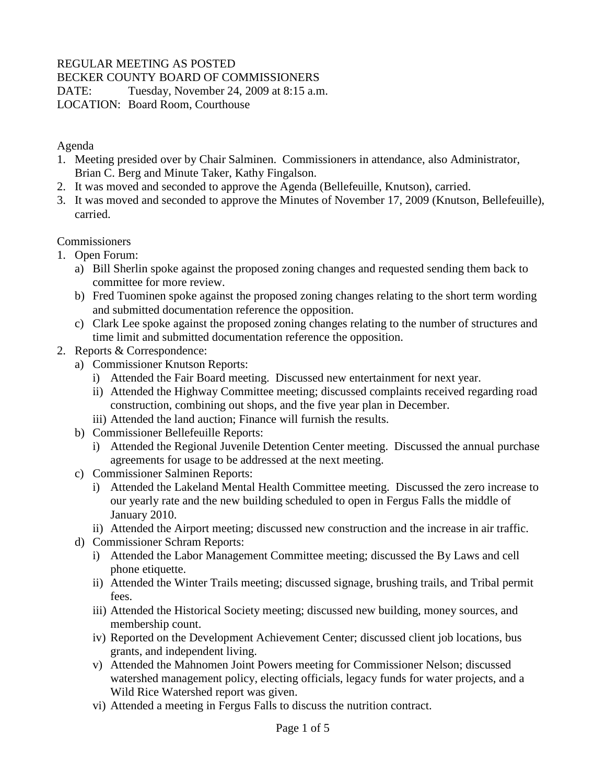## REGULAR MEETING AS POSTED

BECKER COUNTY BOARD OF COMMISSIONERS

DATE: Tuesday, November 24, 2009 at 8:15 a.m.

LOCATION: Board Room, Courthouse

Agenda

- 1. Meeting presided over by Chair Salminen. Commissioners in attendance, also Administrator, Brian C. Berg and Minute Taker, Kathy Fingalson.
- 2. It was moved and seconded to approve the Agenda (Bellefeuille, Knutson), carried.
- 3. It was moved and seconded to approve the Minutes of November 17, 2009 (Knutson, Bellefeuille), carried.

**Commissioners** 

- 1. Open Forum:
	- a) Bill Sherlin spoke against the proposed zoning changes and requested sending them back to committee for more review.
	- b) Fred Tuominen spoke against the proposed zoning changes relating to the short term wording and submitted documentation reference the opposition.
	- c) Clark Lee spoke against the proposed zoning changes relating to the number of structures and time limit and submitted documentation reference the opposition.
- 2. Reports & Correspondence:
	- a) Commissioner Knutson Reports:
		- i) Attended the Fair Board meeting. Discussed new entertainment for next year.
		- ii) Attended the Highway Committee meeting; discussed complaints received regarding road construction, combining out shops, and the five year plan in December.
		- iii) Attended the land auction; Finance will furnish the results.
	- b) Commissioner Bellefeuille Reports:
		- i) Attended the Regional Juvenile Detention Center meeting. Discussed the annual purchase agreements for usage to be addressed at the next meeting.
	- c) Commissioner Salminen Reports:
		- i) Attended the Lakeland Mental Health Committee meeting. Discussed the zero increase to our yearly rate and the new building scheduled to open in Fergus Falls the middle of January 2010.
		- ii) Attended the Airport meeting; discussed new construction and the increase in air traffic.
	- d) Commissioner Schram Reports:
		- i) Attended the Labor Management Committee meeting; discussed the By Laws and cell phone etiquette.
		- ii) Attended the Winter Trails meeting; discussed signage, brushing trails, and Tribal permit fees.
		- iii) Attended the Historical Society meeting; discussed new building, money sources, and membership count.
		- iv) Reported on the Development Achievement Center; discussed client job locations, bus grants, and independent living.
		- v) Attended the Mahnomen Joint Powers meeting for Commissioner Nelson; discussed watershed management policy, electing officials, legacy funds for water projects, and a Wild Rice Watershed report was given.
		- vi) Attended a meeting in Fergus Falls to discuss the nutrition contract.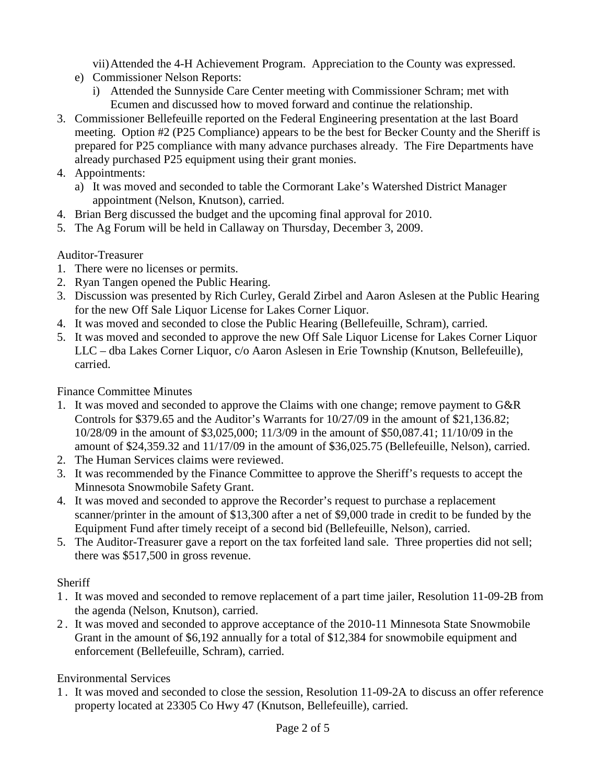vii)Attended the 4-H Achievement Program. Appreciation to the County was expressed.

- e) Commissioner Nelson Reports:
	- i) Attended the Sunnyside Care Center meeting with Commissioner Schram; met with Ecumen and discussed how to moved forward and continue the relationship.
- 3. Commissioner Bellefeuille reported on the Federal Engineering presentation at the last Board meeting. Option #2 (P25 Compliance) appears to be the best for Becker County and the Sheriff is prepared for P25 compliance with many advance purchases already. The Fire Departments have already purchased P25 equipment using their grant monies.
- 4. Appointments:
	- a) It was moved and seconded to table the Cormorant Lake's Watershed District Manager appointment (Nelson, Knutson), carried.
- 4. Brian Berg discussed the budget and the upcoming final approval for 2010.
- 5. The Ag Forum will be held in Callaway on Thursday, December 3, 2009.

# Auditor-Treasurer

- 1. There were no licenses or permits.
- 2. Ryan Tangen opened the Public Hearing.
- 3. Discussion was presented by Rich Curley, Gerald Zirbel and Aaron Aslesen at the Public Hearing for the new Off Sale Liquor License for Lakes Corner Liquor.
- 4. It was moved and seconded to close the Public Hearing (Bellefeuille, Schram), carried.
- 5. It was moved and seconded to approve the new Off Sale Liquor License for Lakes Corner Liquor LLC – dba Lakes Corner Liquor, c/o Aaron Aslesen in Erie Township (Knutson, Bellefeuille), carried.

Finance Committee Minutes

- 1. It was moved and seconded to approve the Claims with one change; remove payment to G&R Controls for \$379.65 and the Auditor's Warrants for 10/27/09 in the amount of \$21,136.82; 10/28/09 in the amount of \$3,025,000; 11/3/09 in the amount of \$50,087.41; 11/10/09 in the amount of \$24,359.32 and 11/17/09 in the amount of \$36,025.75 (Bellefeuille, Nelson), carried.
- 2. The Human Services claims were reviewed.
- 3. It was recommended by the Finance Committee to approve the Sheriff's requests to accept the Minnesota Snowmobile Safety Grant.
- 4. It was moved and seconded to approve the Recorder's request to purchase a replacement scanner/printer in the amount of \$13,300 after a net of \$9,000 trade in credit to be funded by the Equipment Fund after timely receipt of a second bid (Bellefeuille, Nelson), carried.
- 5. The Auditor-Treasurer gave a report on the tax forfeited land sale. Three properties did not sell; there was \$517,500 in gross revenue.

# **Sheriff**

- 1 . It was moved and seconded to remove replacement of a part time jailer, Resolution 11-09-2B from the agenda (Nelson, Knutson), carried.
- 2 . It was moved and seconded to approve acceptance of the 2010-11 Minnesota State Snowmobile Grant in the amount of \$6,192 annually for a total of \$12,384 for snowmobile equipment and enforcement (Bellefeuille, Schram), carried.

# Environmental Services

1 . It was moved and seconded to close the session, Resolution 11-09-2A to discuss an offer reference property located at 23305 Co Hwy 47 (Knutson, Bellefeuille), carried.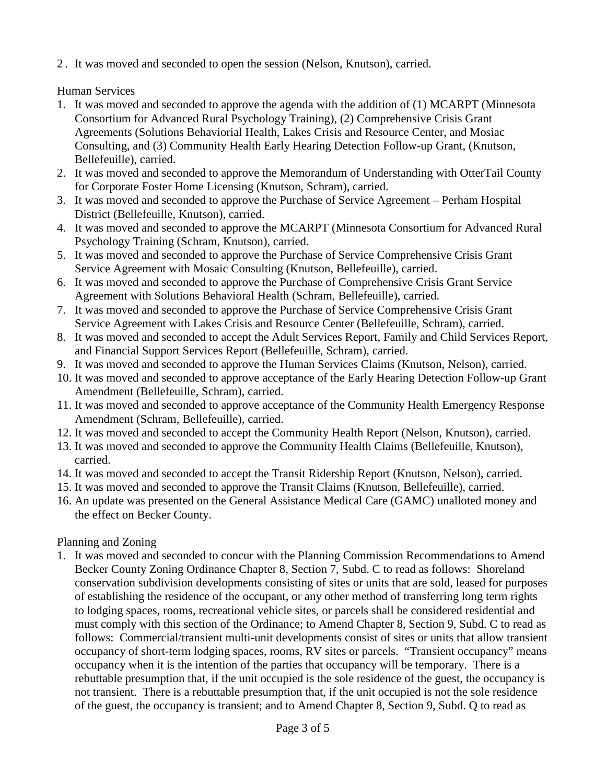2 . It was moved and seconded to open the session (Nelson, Knutson), carried.

Human Services

- 1. It was moved and seconded to approve the agenda with the addition of (1) MCARPT (Minnesota Consortium for Advanced Rural Psychology Training), (2) Comprehensive Crisis Grant Agreements (Solutions Behaviorial Health, Lakes Crisis and Resource Center, and Mosiac Consulting, and (3) Community Health Early Hearing Detection Follow-up Grant, (Knutson, Bellefeuille), carried.
- 2. It was moved and seconded to approve the Memorandum of Understanding with OtterTail County for Corporate Foster Home Licensing (Knutson, Schram), carried.
- 3. It was moved and seconded to approve the Purchase of Service Agreement Perham Hospital District (Bellefeuille, Knutson), carried.
- 4. It was moved and seconded to approve the MCARPT (Minnesota Consortium for Advanced Rural Psychology Training (Schram, Knutson), carried.
- 5. It was moved and seconded to approve the Purchase of Service Comprehensive Crisis Grant Service Agreement with Mosaic Consulting (Knutson, Bellefeuille), carried.
- 6. It was moved and seconded to approve the Purchase of Comprehensive Crisis Grant Service Agreement with Solutions Behavioral Health (Schram, Bellefeuille), carried.
- 7. It was moved and seconded to approve the Purchase of Service Comprehensive Crisis Grant Service Agreement with Lakes Crisis and Resource Center (Bellefeuille, Schram), carried.
- 8. It was moved and seconded to accept the Adult Services Report, Family and Child Services Report, and Financial Support Services Report (Bellefeuille, Schram), carried.
- 9. It was moved and seconded to approve the Human Services Claims (Knutson, Nelson), carried.
- 10. It was moved and seconded to approve acceptance of the Early Hearing Detection Follow-up Grant Amendment (Bellefeuille, Schram), carried.
- 11. It was moved and seconded to approve acceptance of the Community Health Emergency Response Amendment (Schram, Bellefeuille), carried.
- 12. It was moved and seconded to accept the Community Health Report (Nelson, Knutson), carried.
- 13. It was moved and seconded to approve the Community Health Claims (Bellefeuille, Knutson), carried.
- 14. It was moved and seconded to accept the Transit Ridership Report (Knutson, Nelson), carried.
- 15. It was moved and seconded to approve the Transit Claims (Knutson, Bellefeuille), carried.
- 16. An update was presented on the General Assistance Medical Care (GAMC) unalloted money and the effect on Becker County.

# Planning and Zoning

1. It was moved and seconded to concur with the Planning Commission Recommendations to Amend Becker County Zoning Ordinance Chapter 8, Section 7, Subd. C to read as follows: Shoreland conservation subdivision developments consisting of sites or units that are sold, leased for purposes of establishing the residence of the occupant, or any other method of transferring long term rights to lodging spaces, rooms, recreational vehicle sites, or parcels shall be considered residential and must comply with this section of the Ordinance; to Amend Chapter 8, Section 9, Subd. C to read as follows: Commercial/transient multi-unit developments consist of sites or units that allow transient occupancy of short-term lodging spaces, rooms, RV sites or parcels. "Transient occupancy" means occupancy when it is the intention of the parties that occupancy will be temporary. There is a rebuttable presumption that, if the unit occupied is the sole residence of the guest, the occupancy is not transient. There is a rebuttable presumption that, if the unit occupied is not the sole residence of the guest, the occupancy is transient; and to Amend Chapter 8, Section 9, Subd. Q to read as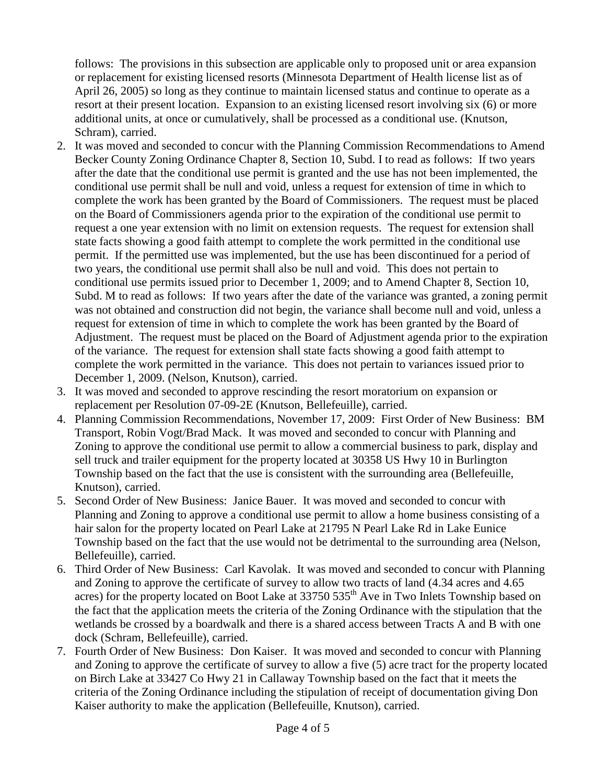follows: The provisions in this subsection are applicable only to proposed unit or area expansion or replacement for existing licensed resorts (Minnesota Department of Health license list as of April 26, 2005) so long as they continue to maintain licensed status and continue to operate as a resort at their present location. Expansion to an existing licensed resort involving six (6) or more additional units, at once or cumulatively, shall be processed as a conditional use. (Knutson, Schram), carried.

- 2. It was moved and seconded to concur with the Planning Commission Recommendations to Amend Becker County Zoning Ordinance Chapter 8, Section 10, Subd. I to read as follows: If two years after the date that the conditional use permit is granted and the use has not been implemented, the conditional use permit shall be null and void, unless a request for extension of time in which to complete the work has been granted by the Board of Commissioners. The request must be placed on the Board of Commissioners agenda prior to the expiration of the conditional use permit to request a one year extension with no limit on extension requests. The request for extension shall state facts showing a good faith attempt to complete the work permitted in the conditional use permit. If the permitted use was implemented, but the use has been discontinued for a period of two years, the conditional use permit shall also be null and void. This does not pertain to conditional use permits issued prior to December 1, 2009; and to Amend Chapter 8, Section 10, Subd. M to read as follows: If two years after the date of the variance was granted, a zoning permit was not obtained and construction did not begin, the variance shall become null and void, unless a request for extension of time in which to complete the work has been granted by the Board of Adjustment. The request must be placed on the Board of Adjustment agenda prior to the expiration of the variance. The request for extension shall state facts showing a good faith attempt to complete the work permitted in the variance. This does not pertain to variances issued prior to December 1, 2009. (Nelson, Knutson), carried.
- 3. It was moved and seconded to approve rescinding the resort moratorium on expansion or replacement per Resolution 07-09-2E (Knutson, Bellefeuille), carried.
- 4. Planning Commission Recommendations, November 17, 2009: First Order of New Business: BM Transport, Robin Vogt/Brad Mack. It was moved and seconded to concur with Planning and Zoning to approve the conditional use permit to allow a commercial business to park, display and sell truck and trailer equipment for the property located at 30358 US Hwy 10 in Burlington Township based on the fact that the use is consistent with the surrounding area (Bellefeuille, Knutson), carried.
- 5. Second Order of New Business: Janice Bauer. It was moved and seconded to concur with Planning and Zoning to approve a conditional use permit to allow a home business consisting of a hair salon for the property located on Pearl Lake at 21795 N Pearl Lake Rd in Lake Eunice Township based on the fact that the use would not be detrimental to the surrounding area (Nelson, Bellefeuille), carried.
- 6. Third Order of New Business: Carl Kavolak. It was moved and seconded to concur with Planning and Zoning to approve the certificate of survey to allow two tracts of land (4.34 acres and 4.65 acres) for the property located on Boot Lake at 33750 535<sup>th</sup> Ave in Two Inlets Township based on the fact that the application meets the criteria of the Zoning Ordinance with the stipulation that the wetlands be crossed by a boardwalk and there is a shared access between Tracts A and B with one dock (Schram, Bellefeuille), carried.
- 7. Fourth Order of New Business: Don Kaiser. It was moved and seconded to concur with Planning and Zoning to approve the certificate of survey to allow a five (5) acre tract for the property located on Birch Lake at 33427 Co Hwy 21 in Callaway Township based on the fact that it meets the criteria of the Zoning Ordinance including the stipulation of receipt of documentation giving Don Kaiser authority to make the application (Bellefeuille, Knutson), carried.